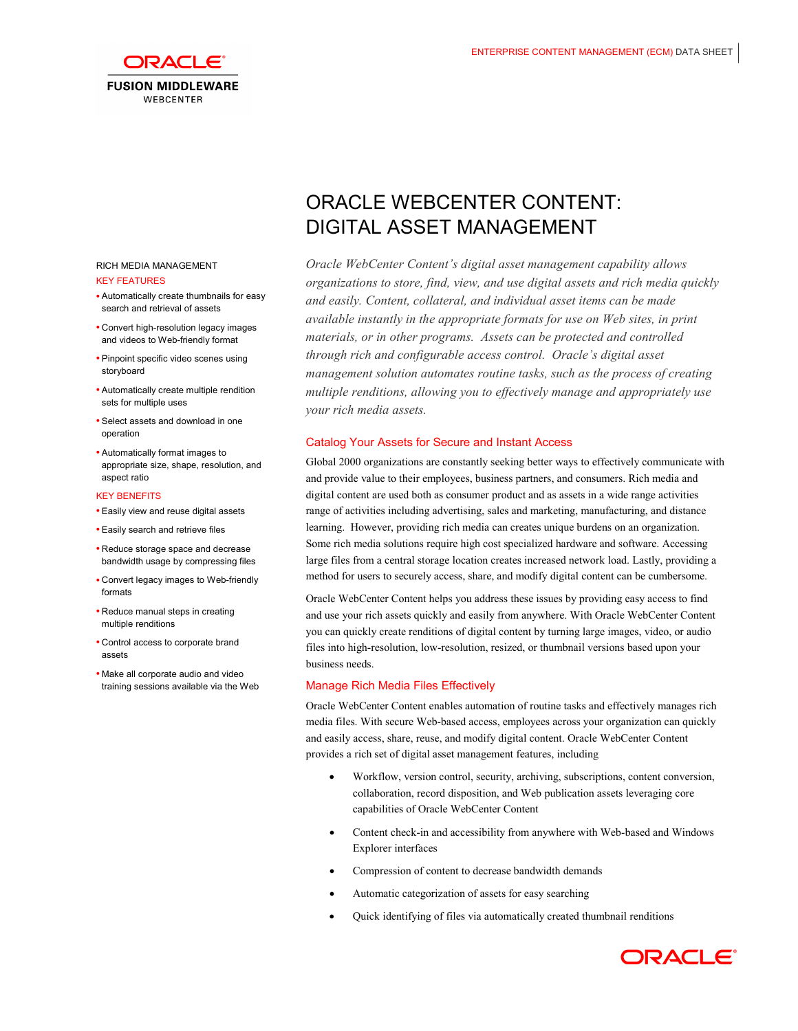

### RICH MEDIA MANAGEMENT KEY FEATURES

- Automatically create thumbnails for easy search and retrieval of assets
- Convert high-resolution legacy images and videos to Web-friendly format
- Pinpoint specific video scenes using storyboard
- • Automatically create multiple rendition sets for multiple uses
- Select assets and download in one operation
- • Automatically format images to appropriate size, shape, resolution, and aspect ratio

## KEY BENEFITS

- Easily view and reuse digital assets
- Easily search and retrieve files
- Reduce storage space and decrease bandwidth usage by compressing files
- • Convert legacy images to Web-friendly formats
- Reduce manual steps in creating multiple renditions
- Control access to corporate brand assets
- Make all corporate audio and video training sessions available via the Web

# DIGITAL ASSET MANAGEMENT ORACLE WEBCENTER CONTENT:

 *Oracle WebCenter Content's digital asset management capability allows organizations to store, find, view, and use digital assets and rich media quickly and easily. Content, collateral, and individual asset items can be made available instantly in the appropriate formats for use on Web sites, in print materials, or in other programs. Assets can be protected and controlled through rich and configurable access control. Oracle's digital asset management solution automates routine tasks, such as the process of creating multiple renditions, allowing you to effectively manage and appropriately use your rich media assets.*

# Catalog Your Assets for Secure and Instant Access

 Global 2000 organizations are constantly seeking better ways to effectively communicate with and provide value to their employees, business partners, and consumers. Rich media and digital content are used both as consumer product and as assets in a wide range activities range of activities including advertising, sales and marketing, manufacturing, and distance learning. However, providing rich media can creates unique burdens on an organization. Some rich media solutions require high cost specialized hardware and software. Accessing large files from a central storage location creates increased network load. Lastly, providing a method for users to securely access, share, and modify digital content can be cumbersome.

 Oracle WebCenter Content helps you address these issues by providing easy access to find and use your rich assets quickly and easily from anywhere. With Oracle WebCenter Content you can quickly create renditions of digital content by turning large images, video, or audio files into high-resolution, low-resolution, resized, or thumbnail versions based upon your business needs.

# Manage Rich Media Files Effectively

 Oracle WebCenter Content enables automation of routine tasks and effectively manages rich media files. With secure Web-based access, employees across your organization can quickly and easily access, share, reuse, and modify digital content. Oracle WebCenter Content provides a rich set of digital asset management features, including

- • Workflow, version control, security, archiving, subscriptions, content conversion, collaboration, record disposition, and Web publication assets leveraging core capabilities of Oracle WebCenter Content
- Content check-in and accessibility from anywhere with Web-based and Windows Explorer interfaces
- • Compression of content to decrease bandwidth demands
- • Automatic categorization of assets for easy searching
- • Quick identifying of files via automatically created thumbnail renditions